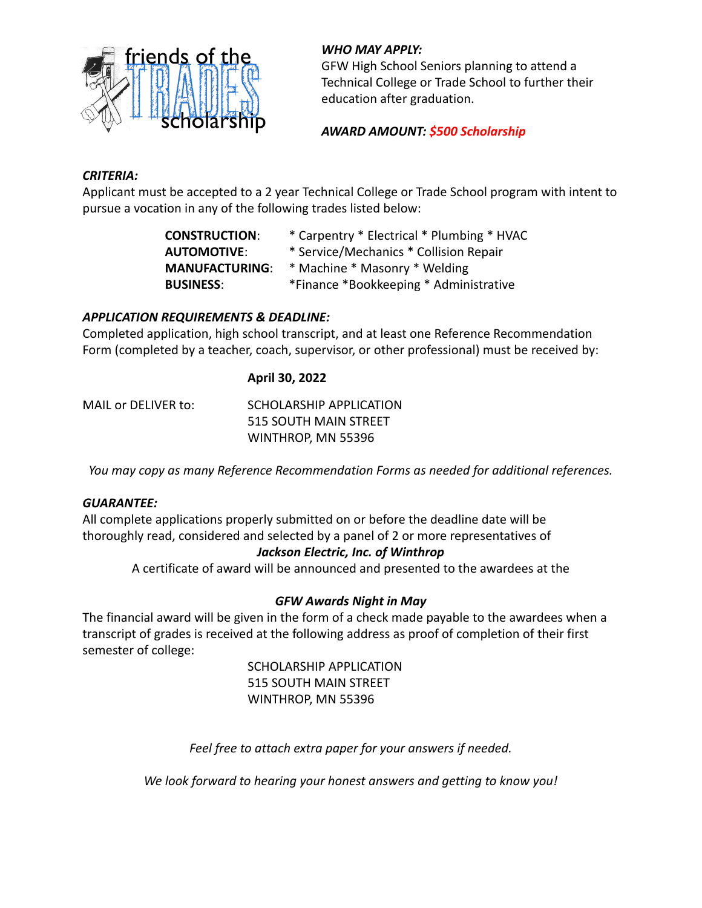

# *WHO MAY APPLY:*

GFW High School Seniors planning to attend a Technical College or Trade School to further their education after graduation.

# *AWARD AMOUNT: \$500 Scholarship*

# *CRITERIA:*

Applicant must be accepted to a 2 year Technical College or Trade School program with intent to pursue a vocation in any of the following trades listed below:

| <b>CONSTRUCTION:</b>  | * Carpentry * Electrical * Plumbing * HVAC |
|-----------------------|--------------------------------------------|
| <b>AUTOMOTIVE:</b>    | * Service/Mechanics * Collision Repair     |
| <b>MANUFACTURING:</b> | * Machine * Masonry * Welding              |
| <b>BUSINESS:</b>      | *Finance *Bookkeeping * Administrative     |

# *APPLICATION REQUIREMENTS & DEADLINE:*

Completed application, high school transcript, and at least one Reference Recommendation Form (completed by a teacher, coach, supervisor, or other professional) must be received by:

# **April 30, 2022**

MAIL or DELIVER to: SCHOLARSHIP APPLICATION 515 SOUTH MAIN STREET WINTHROP, MN 55396

*You may copy as many Reference Recommendation Forms as needed for additional references.*

### *GUARANTEE:*

All complete applications properly submitted on or before the deadline date will be thoroughly read, considered and selected by a panel of 2 or more representatives of

# *Jackson Electric, Inc. of Winthrop*

A certificate of award will be announced and presented to the awardees at the

# *GFW Awards Night in May*

The financial award will be given in the form of a check made payable to the awardees when a transcript of grades is received at the following address as proof of completion of their first semester of college:

> SCHOLARSHIP APPLICATION 515 SOUTH MAIN STREET WINTHROP, MN 55396

*Feel free to attach extra paper for your answers if needed.*

*We look forward to hearing your honest answers and getting to know you!*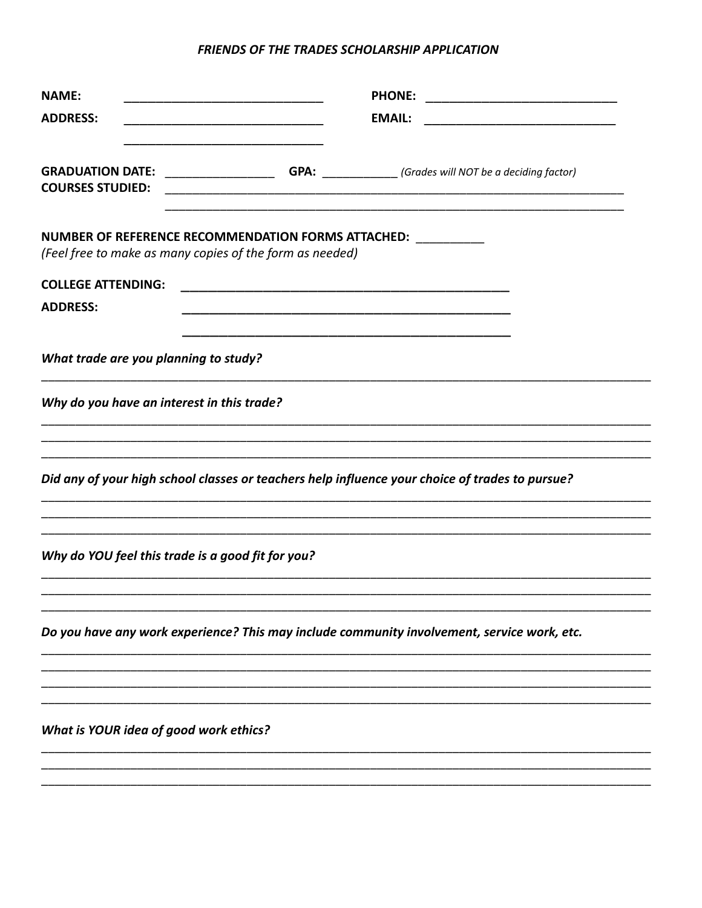#### FRIENDS OF THE TRADES SCHOLARSHIP APPLICATION

| <b>NAME:</b><br><b>ADDRESS:</b>                                                                                                                                   | <b>EMAIL:</b> |  |
|-------------------------------------------------------------------------------------------------------------------------------------------------------------------|---------------|--|
| <b>GRADUATION DATE:</b> _______________________GPA: _____________(Grades will NOT be a deciding factor)<br><b>COURSES STUDIED:</b>                                |               |  |
| NUMBER OF REFERENCE RECOMMENDATION FORMS ATTACHED: NUMBER OF REFERENCE RECOMMENDATION FORMS ATTACHED:<br>(Feel free to make as many copies of the form as needed) |               |  |
| <b>COLLEGE ATTENDING:</b><br><b>ADDRESS:</b>                                                                                                                      |               |  |
| What trade are you planning to study?                                                                                                                             |               |  |
| Why do you have an interest in this trade?                                                                                                                        |               |  |
| Did any of your high school classes or teachers help influence your choice of trades to pursue?                                                                   |               |  |
| Why do YOU feel this trade is a good fit for you?                                                                                                                 |               |  |
| Do you have any work experience? This may include community involvement, service work, etc.                                                                       |               |  |
|                                                                                                                                                                   |               |  |
| <b>What is YOUR idea of good work ethics?</b>                                                                                                                     |               |  |
|                                                                                                                                                                   |               |  |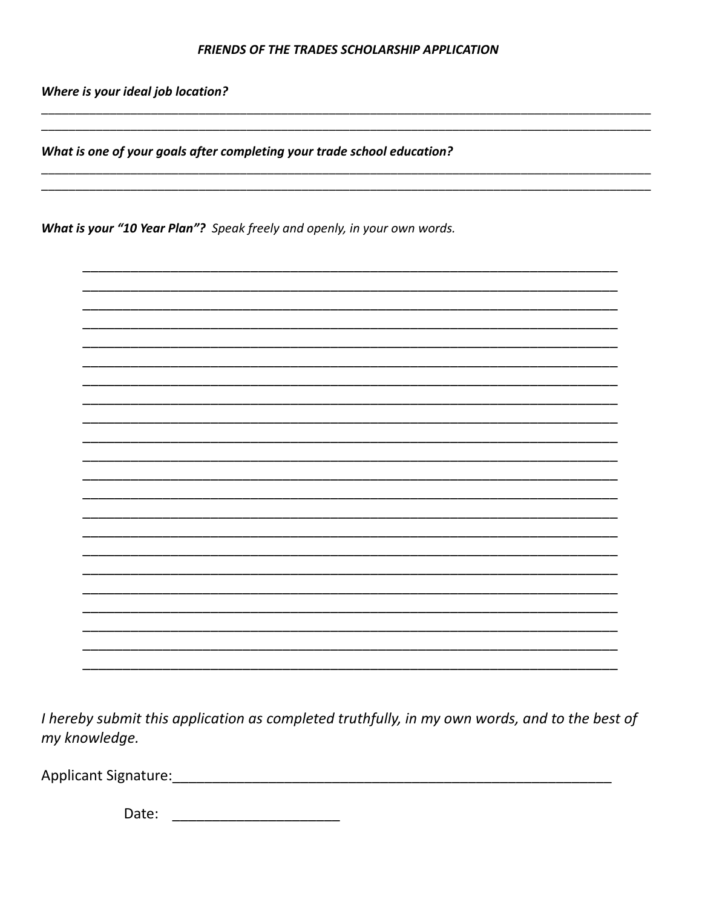#### **FRIENDS OF THE TRADES SCHOLARSHIP APPLICATION**

Where is your ideal job location?

What is one of your goals after completing your trade school education?

What is your "10 Year Plan"? Speak freely and openly, in your own words.



I hereby submit this application as completed truthfully, in my own words, and to the best of my knowledge.